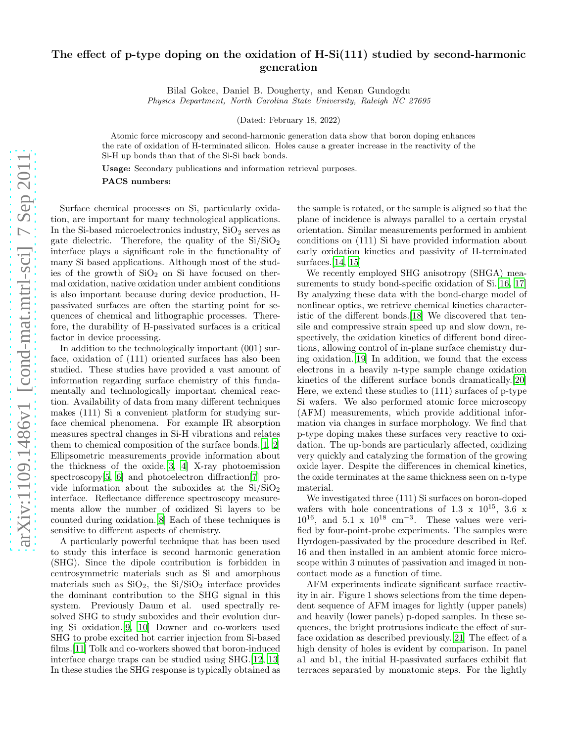## arXiv:1109.1486v1 [cond-mat.mtrl-sci] 7 Sep 2011 [arXiv:1109.1486v1 \[cond-mat.mtrl-sci\] 7 Sep 2011](http://arxiv.org/abs/1109.1486v1)

## The effect of p-type doping on the oxidation of H-Si(111) studied by second-harmonic generation

Bilal Gokce, Daniel B. Dougherty, and Kenan Gundogdu Physics Department, North Carolina State University, Raleigh NC 27695

(Dated: February 18, 2022)

Atomic force microscopy and second-harmonic generation data show that boron doping enhances the rate of oxidation of H-terminated silicon. Holes cause a greater increase in the reactivity of the Si-H up bonds than that of the Si-Si back bonds.

Usage: Secondary publications and information retrieval purposes.

PACS numbers:

Surface chemical processes on Si, particularly oxidation, are important for many technological applications. In the Si-based microelectronics industry,  $SiO<sub>2</sub>$  serves as gate dielectric. Therefore, the quality of the  $Si/SiO<sub>2</sub>$ interface plays a significant role in the functionality of many Si based applications. Although most of the studies of the growth of  $SiO<sub>2</sub>$  on Si have focused on thermal oxidation, native oxidation under ambient conditions is also important because during device production, Hpassivated surfaces are often the starting point for sequences of chemical and lithographic processes. Therefore, the durability of H-passivated surfaces is a critical factor in device processing.

In addition to the technologically important (001) surface, oxidation of (111) oriented surfaces has also been studied. These studies have provided a vast amount of information regarding surface chemistry of this fundamentally and technologically important chemical reaction. Availability of data from many different techniques makes (111) Si a convenient platform for studying surface chemical phenomena. For example IR absorption measures spectral changes in Si-H vibrations and relates them to chemical composition of the surface bonds.[\[1](#page-2-0), [2](#page-2-1)] Ellipsometric measurements provide information about the thickness of the oxide.[\[3](#page-2-2), [4](#page-2-3)] X-ray photoemission spectroscopy[\[5,](#page-2-4) [6](#page-2-5)] and photoelectron diffraction[\[7\]](#page-2-6) provide information about the suboxides at the  $Si/SiO<sub>2</sub>$ interface. Reflectance difference spectroscopy measurements allow the number of oxidized Si layers to be counted during oxidation.[\[8\]](#page-2-7) Each of these techniques is sensitive to different aspects of chemistry.

A particularly powerful technique that has been used to study this interface is second harmonic generation (SHG). Since the dipole contribution is forbidden in centrosymmetric materials such as Si and amorphous materials such as  $SiO<sub>2</sub>$ , the  $Si/SiO<sub>2</sub>$  interface provides the dominant contribution to the SHG signal in this system. Previously Daum et al. used spectrally resolved SHG to study suboxides and their evolution during Si oxidation.[\[9,](#page-2-8) [10\]](#page-2-9) Downer and co-workers used SHG to probe excited hot carrier injection from Si-based films.[\[11\]](#page-2-10) Tolk and co-workers showed that boron-induced interface charge traps can be studied using SHG.[\[12](#page-2-11), [13](#page-2-12)] In these studies the SHG response is typically obtained as

the sample is rotated, or the sample is aligned so that the plane of incidence is always parallel to a certain crystal orientation. Similar measurements performed in ambient conditions on (111) Si have provided information about early oxidation kinetics and passivity of H-terminated surfaces.[\[14,](#page-2-13) [15\]](#page-2-14)

We recently employed SHG anisotropy (SHGA) mea-surements to study bond-specific oxidation of Si.[\[16](#page-2-15), [17](#page-2-16)] By analyzing these data with the bond-charge model of nonlinear optics, we retrieve chemical kinetics characteristic of the different bonds.[\[18\]](#page-2-17) We discovered that tensile and compressive strain speed up and slow down, respectively, the oxidation kinetics of different bond directions, allowing control of in-plane surface chemistry during oxidation.[\[19\]](#page-2-18) In addition, we found that the excess electrons in a heavily n-type sample change oxidation kinetics of the different surface bonds dramatically.[\[20\]](#page-2-19) Here, we extend these studies to (111) surfaces of p-type Si wafers. We also performed atomic force microscopy (AFM) measurements, which provide additional information via changes in surface morphology. We find that p-type doping makes these surfaces very reactive to oxidation. The up-bonds are particularly affected, oxidizing very quickly and catalyzing the formation of the growing oxide layer. Despite the differences in chemical kinetics, the oxide terminates at the same thickness seen on n-type material.

We investigated three (111) Si surfaces on boron-doped wafers with hole concentrations of 1.3 x  $10^{15}$ , 3.6 x  $10^{16}$ , and  $5.1 \times 10^{18}$  cm<sup>-3</sup>. These values were verified by four-point-probe experiments. The samples were Hyrdogen-passivated by the procedure described in Ref. 16 and then installed in an ambient atomic force microscope within 3 minutes of passivation and imaged in noncontact mode as a function of time.

AFM experiments indicate significant surface reactivity in air. Figure 1 shows selections from the time dependent sequence of AFM images for lightly (upper panels) and heavily (lower panels) p-doped samples. In these sequences, the bright protrusions indicate the effect of surface oxidation as described previously.[\[21\]](#page-2-20) The effect of a high density of holes is evident by comparison. In panel a1 and b1, the initial H-passivated surfaces exhibit flat terraces separated by monatomic steps. For the lightly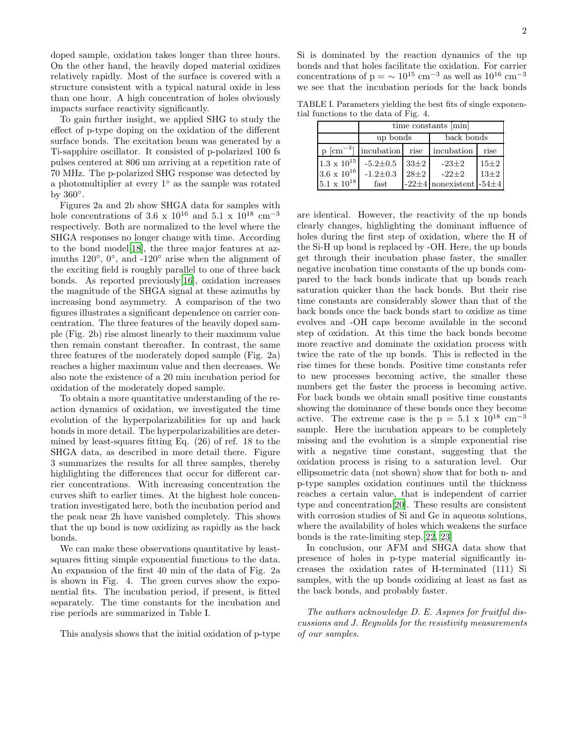doped sample, oxidation takes longer than three hours. On the other hand, the heavily doped material oxidizes relatively rapidly. Most of the surface is covered with a structure consistent with a typical natural oxide in less than one hour. A high concentration of holes obviously impacts surface reactivity significantly.

To gain further insight, we applied SHG to study the effect of p-type doping on the oxidation of the different surface bonds. The excitation beam was generated by a Ti-sapphire oscillator. It consisted of p-polarized 100 fs pulses centered at 806 nm arriving at a repetition rate of 70 MHz. The p-polarized SHG response was detected by a photomultiplier at every 1◦ as the sample was rotated by  $360^\circ$ .

Figures 2a and 2b show SHGA data for samples with hole concentrations of 3.6 x  $10^{16}$  and 5.1 x  $10^{18}$  cm<sup>-3</sup> respectively. Both are normalized to the level where the SHGA responses no longer change with time. According to the bond model[\[18](#page-2-17)], the three major features at azimuths 120 $^{\circ}$ , 0 $^{\circ}$ , and -120 $^{\circ}$  arise when the alignment of the exciting field is roughly parallel to one of three back bonds. As reported previously[\[16\]](#page-2-15), oxidation increases the magnitude of the SHGA signal at these azimuths by increasing bond asymmetry. A comparison of the two figures illustrates a significant dependence on carrier concentration. The three features of the heavily doped sample (Fig. 2b) rise almost linearly to their maximum value then remain constant thereafter. In contrast, the same three features of the moderately doped sample (Fig. 2a) reaches a higher maximum value and then decreases. We also note the existence of a 20 min incubation period for oxidation of the moderately doped sample.

To obtain a more quantitative understanding of the reaction dynamics of oxidation, we investigated the time evolution of the hyperpolarizabilities for up and back bonds in more detail. The hyperpolarizabilities are determined by least-squares fitting Eq. (26) of ref. 18 to the SHGA data, as described in more detail there. Figure 3 summarizes the results for all three samples, thereby highlighting the differences that occur for different carrier concentrations. With increasing concentration the curves shift to earlier times. At the highest hole concentration investigated here, both the incubation period and the peak near 2h have vanished completely. This shows that the up bond is now oxidizing as rapidly as the back bonds.

We can make these observations quantitative by leastsquares fitting simple exponential functions to the data. An expansion of the first 40 min of the data of Fig. 2a is shown in Fig. 4. The green curves show the exponential fits. The incubation period, if present, is fitted separately. The time constants for the incubation and rise periods are summarized in Table I.

This analysis shows that the initial oxidation of p-type

2

Si is dominated by the reaction dynamics of the up bonds and that holes facilitate the oxidation. For carrier concentrations of p =  $\sim 10^{15}$  cm<sup>-3</sup> as well as  $10^{16}$  cm<sup>-3</sup> we see that the incubation periods for the back bonds

TABLE I. Parameters yielding the best fits of single exponential functions to the data of Fig. 4.

|                      | time constants [min]             |          |                                   |          |
|----------------------|----------------------------------|----------|-----------------------------------|----------|
|                      | up bonds                         |          | back bonds                        |          |
|                      | $p \text{ [cm}^{-3}]$ incubation | rise     | incubation                        | rise     |
| $1.3 \times 10^{15}$ | $-5.2{\pm}0.5$                   | $33\pm2$ | $-23\pm 2$                        | $15\pm2$ |
| $3.6 \times 10^{16}$ | $-1.2 \pm 0.3$                   | $28+2$   | $-22+2$                           | $13\pm2$ |
| $5.1 \times 10^{18}$ | fast                             |          | $-22\pm 4$ nonexistent $-54\pm 4$ |          |

are identical. However, the reactivity of the up bonds clearly changes, highlighting the dominant influence of holes during the first step of oxidation, where the H of the Si-H up bond is replaced by -OH. Here, the up bonds get through their incubation phase faster, the smaller negative incubation time constants of the up bonds compared to the back bonds indicate that up bonds reach saturation quicker than the back bonds. But their rise time constants are considerably slower than that of the back bonds once the back bonds start to oxidize as time evolves and -OH caps become available in the second step of oxidation. At this time the back bonds become more reactive and dominate the oxidation process with twice the rate of the up bonds. This is reflected in the rise times for these bonds. Positive time constants refer to new processes becoming active, the smaller these numbers get the faster the process is becoming active. For back bonds we obtain small positive time constants showing the dominance of these bonds once they become active. The extreme case is the  $p = 5.1 \times 10^{18}$  cm<sup>-3</sup> sample. Here the incubation appears to be completely missing and the evolution is a simple exponential rise with a negative time constant, suggesting that the oxidation process is rising to a saturation level. Our ellipsometric data (not shown) show that for both n- and p-type samples oxidation continues until the thickness reaches a certain value, that is independent of carrier type and concentration[\[20\]](#page-2-19). These results are consistent with corrosion studies of Si and Ge in aqueous solutions, where the availability of holes which weakens the surface bonds is the rate-limiting step.[\[22](#page-2-21), [23](#page-2-22)]

In conclusion, our AFM and SHGA data show that presence of holes in p-type material significantly increases the oxidation rates of H-terminated (111) Si samples, with the up bonds oxidizing at least as fast as the back bonds, and probably faster.

The authors acknowledge D. E. Aspnes for fruitful discussions and J. Reynolds for the resistivity measurements of our samples.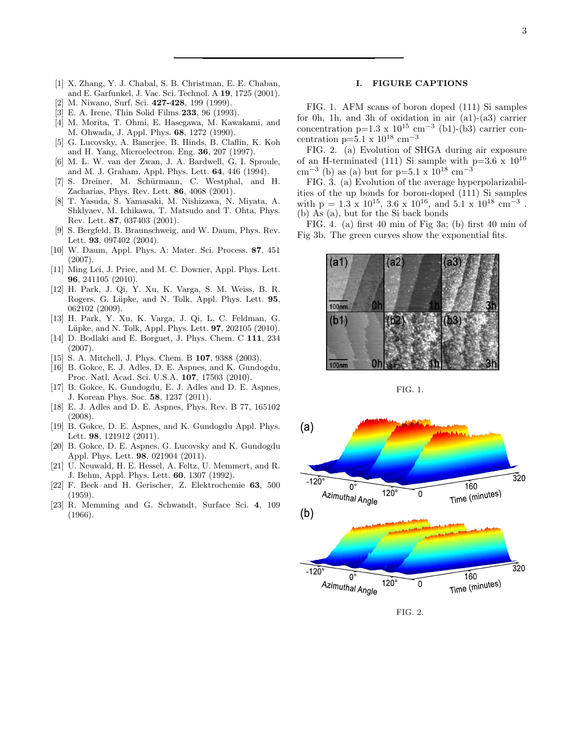- <span id="page-2-0"></span>[1] X. Zhang, Y. J. Chabal, S. B. Christman, E. E. Chaban, and E. Garfunkel, J. Vac. Sci. Technol. A 19, 1725 (2001).
- <span id="page-2-1"></span>[2] M. Niwano, Surf. Sci. 427-428, 199 (1999).
- <span id="page-2-2"></span>[3] E. A. Irene, Thin Solid Films 233, 96 (1993).
- <span id="page-2-3"></span>[4] M. Morita, T. Ohmi, E. Hasegawa, M. Kawakami, and M. Ohwada, J. Appl. Phys. 68, 1272 (1990).
- <span id="page-2-4"></span>[5] G. Lucovsky, A. Banerjee, B. Hinds, B. Claflin, K. Koh and H. Yang, Microelectron. Eng. 36, 207 (1997).
- <span id="page-2-5"></span>[6] M. L. W. van der Zwan, J. A. Bardwell, G. I. Sproule, and M. J. Graham, Appl. Phys. Lett. 64, 446 (1994).
- <span id="page-2-6"></span>[7] S. Dreiner, M. Schürmann, C. Westphal, and H. Zacharias, Phys. Rev. Lett. 86, 4068 (2001).
- <span id="page-2-7"></span>[8] T. Yasuda, S. Yamasaki, M. Nishizawa, N. Miyata, A. Shklyaev, M. Ichikawa, T. Matsudo and T. Ohta, Phys. Rev. Lett. 87, 037403 (2001).
- <span id="page-2-8"></span>[9] S. Bergfeld, B. Braunschweig, and W. Daum, Phys. Rev. Lett. 93, 097402 (2004).
- <span id="page-2-9"></span>[10] W. Daum, Appl. Phys. A: Mater. Sci. Process. 87, 451 (2007).
- <span id="page-2-10"></span>[11] Ming Lei, J. Price, and M. C. Downer, Appl. Phys. Lett. 96, 241105 (2010).
- <span id="page-2-11"></span>[12] H. Park, J. Qi, Y. Xu, K. Varga, S. M. Weiss, B. R. Rogers, G. Lüpke, and N. Tolk, Appl. Phys. Lett. 95, 062102 (2009).
- <span id="page-2-12"></span>[13] H. Park, Y. Xu, K. Varga, J. Qi, L. C. Feldman, G. Lüpke, and N. Tolk, Appl. Phys. Lett. **97**, 202105 (2010).
- <span id="page-2-13"></span>[14] D. Bodlaki and E. Borguet, J. Phys. Chem. C 111, 234  $(2007)$ .
- <span id="page-2-14"></span>[15] S. A. Mitchell, J. Phys. Chem. B **107**, 9388 (2003).
- <span id="page-2-15"></span>[16] B. Gokce, E. J. Adles, D. E. Aspnes, and K. Gundogdu, Proc. Natl. Acad. Sci. U.S.A. 107, 17503 (2010).
- <span id="page-2-16"></span>[17] B. Gokce, K. Gundogdu, E. J. Adles and D. E. Aspnes, J. Korean Phys. Soc. 58, 1237 (2011).
- <span id="page-2-17"></span>[18] E. J. Adles and D. E. Aspnes, Phys. Rev. B 77, 165102 (2008).
- <span id="page-2-18"></span>[19] B. Gokce, D. E. Aspnes, and K. Gundogdu Appl. Phys. Lett. 98, 121912 (2011).
- <span id="page-2-19"></span>[20] B. Gokce, D. E. Aspnes, G. Lucovsky and K. Gundogdu Appl. Phys. Lett. 98, 021904 (2011).
- <span id="page-2-20"></span>[21] U. Neuwald, H. E. Hessel, A. Feltz, U. Memmert, and R. J. Behm, Appl. Phys. Lett. 60, 1307 (1992).
- <span id="page-2-21"></span>[22] F. Beck and H. Gerischer, Z. Elektrochemie 63, 500 (1959).
- <span id="page-2-22"></span>[23] R. Memming and G. Schwandt, Surface Sci. 4, 109 (1966).

## I. FIGURE CAPTIONS

FIG. 1. AFM scans of boron doped (111) Si samples for 0h, 1h, and 3h of oxidation in air (a1)-(a3) carrier concentration p=1.3 x  $10^{15}$  cm<sup>-3</sup> (b1)-(b3) carrier concentration p=5.1 x  $10^{18}$  cm<sup>-3</sup>

FIG. 2. (a) Evolution of SHGA during air exposure of an H-terminated (111) Si sample with  $p=3.6 \times 10^{16}$ cm<sup>-3</sup> (b) as (a) but for p=5.1 x  $10^{18}$  cm<sup>-3</sup>

FIG. 3. (a) Evolution of the average hyperpolarizabilities of the up bonds for boron-doped (111) Si samples with  $p = 1.3 \times 10^{15}$ ,  $3.6 \times 10^{16}$ , and  $5.1 \times 10^{18}$  cm<sup>-3</sup>. (b) As (a), but for the Si back bonds

FIG. 4. (a) first 40 min of Fig 3a; (b) first 40 min of Fig 3b. The green curves show the exponential fits.







FIG. 2.